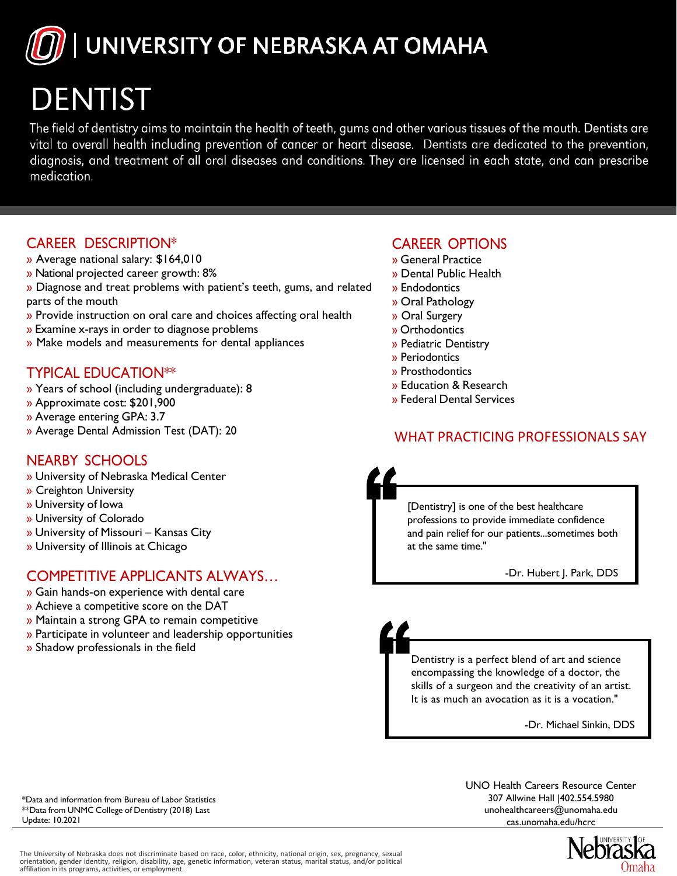UNIVERSITY OF NEBRASKA AT OMAHA

# **DENTIST**

The field of dentistry aims to maintain the health of teeth, gums and other various tissues of the mouth. Dentists are vital to overall health including prevention of cancer or heart disease. Dentists are dedicated to the prevention, diagnosis, and treatment of all oral diseases and conditions. They are licensed in each state, and can prescribe medication.

#### CAREER DESCRIPTION\*

- » Average national salary: \$164,010
- » National projected career growth: 8%
- » Diagnose and treat problems with patient's teeth, gums, and related parts of the mouth
- » Provide instruction on oral care and choices affecting oral health
- » Examine x-rays in order to diagnose problems
- » Make models and measurements for dental appliances

## TYPICAL EDUCATION\*\*

- » Years of school (including undergraduate): 8
- » Approximate cost: \$201,900
- » Average entering GPA: 3.7
- » Average Dental Admission Test (DAT): 20

## NEARBY SCHOOLS

- » University of Nebraska Medical Center
- » Creighton University
- » University of Iowa
- » University of Colorado
- » University of Missouri Kansas City
- » University of Illinois at Chicago

## COMPETITIVE APPLICANTS ALWAYS…

- » Gain hands-on experience with dental care
- » Achieve a competitive score on the DAT
- » Maintain a strong GPA to remain competitive
- » Participate in volunteer and leadership opportunities
- » Shadow professionals in the field

#### CAREER OPTIONS

- » General Practice
- » Dental Public Health
- » Endodontics
- » Oral Pathology
- » Oral Surgery
- » Orthodontics
- » Pediatric Dentistry
- » Periodontics
- » Prosthodontics
- » Education & Research
- » Federal Dental Services

#### WHAT PRACTICING PROFESSIONALS SAY

[Dentistry] is one of the best healthcare professions to provide immediate confidence and pain relief for our patients...sometimes both at the same time."

-Dr. Hubert J. Park, DDS

Dentistry is a perfect blend of art and science encompassing the knowledge of a doctor, the skills of a surgeon and the creativity of an artist. It is as much an avocation as it is a vocation."

-Dr. Michael Sinkin, DDS

\*Data and information from Bureau of Labor Statistics \*\*Data from UNMC College of Dentistry (2018) Last Update: 10.2021

UNO Health Careers Resource Center 307 Allwine Hall |402.554.5980 unohealthcareers@unomaha.edu cas.unomaha.edu/hcrc



The University of Nebraska does not discriminate based on race, color, ethnicity, national origin, sex, pregnancy, sexual orientation, gender identity, religion, disability, age, genetic information, veteran status, marital status, and/or political affiliation in its programs, activities, or employment.